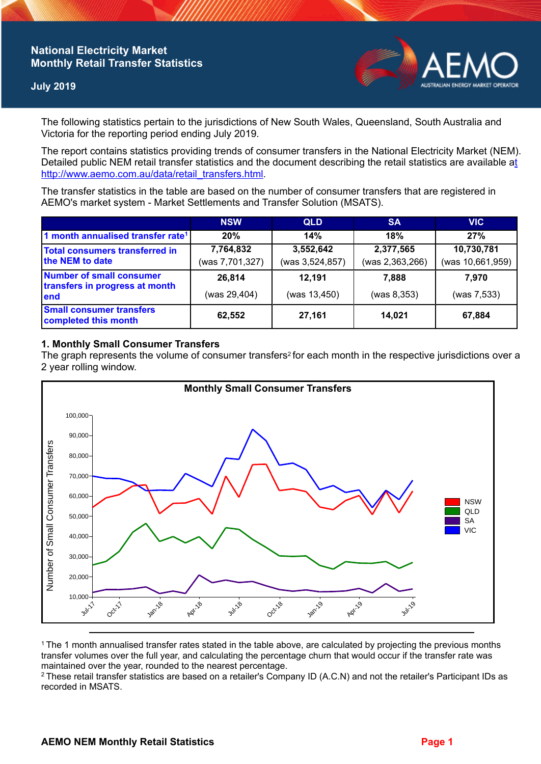## **National Electricity Market Monthly Retail Transfer Statistics**

### **July 2019**



The following statistics pertain to the jurisdictions of New South Wales, Queensland, South Australia and Victoria for the reporting period ending July 2019.

The report contains statistics providing trends of consumer transfers in the National Electricity Market (NEM). Detailed public NEM retail transfer statistics and the document describing the retail statistics are available a[t](http://www.aemo.com.au/data/retail_transfers.html)  http://www.aemo.com.au/data/retail\_transfers.html

The transfer statistics in the table are based on the number of consumer transfers that are registered in AEMO's market system - Market Settlements and Transfer Solution (MSATS).

|                                                                           | <b>NSW</b>                   | <b>QLD</b>                   | <b>SA</b>                    | <b>VIC</b>                     |
|---------------------------------------------------------------------------|------------------------------|------------------------------|------------------------------|--------------------------------|
| 1 month annualised transfer rate <sup>1</sup>                             | 20%                          | 14%                          | 18%                          | 27%                            |
| <b>Total consumers transferred in</b><br>the NEM to date                  | 7,764,832<br>(was 7,701,327) | 3,552,642<br>(was 3,524,857) | 2,377,565<br>(was 2,363,266) | 10,730,781<br>(was 10,661,959) |
| <b>Number of small consumer</b><br>transfers in progress at month<br>lend | 26,814<br>(was 29,404)       | 12.191<br>(was 13,450)       | 7.888<br>(was 8, 353)        | 7.970<br>(was 7,533)           |
| <b>Small consumer transfers</b><br>completed this month                   | 62,552                       | 27,161                       | 14.021                       | 67,884                         |

## **1. Monthly Small Consumer Transfers**

The graph represents the volume of consumer transfers<sup>2</sup> for each month in the respective jurisdictions over a 2 year rolling window.



<sup>1</sup>The 1 month annualised transfer rates stated in the table above, are calculated by projecting the previous months transfer volumes over the full year, and calculating the percentage churn that would occur if the transfer rate was maintained over the year, rounded to the nearest percentage.

<sup>2</sup> These retail transfer statistics are based on a retailer's Company ID (A.C.N) and not the retailer's Participant IDs as recorded in MSATS.